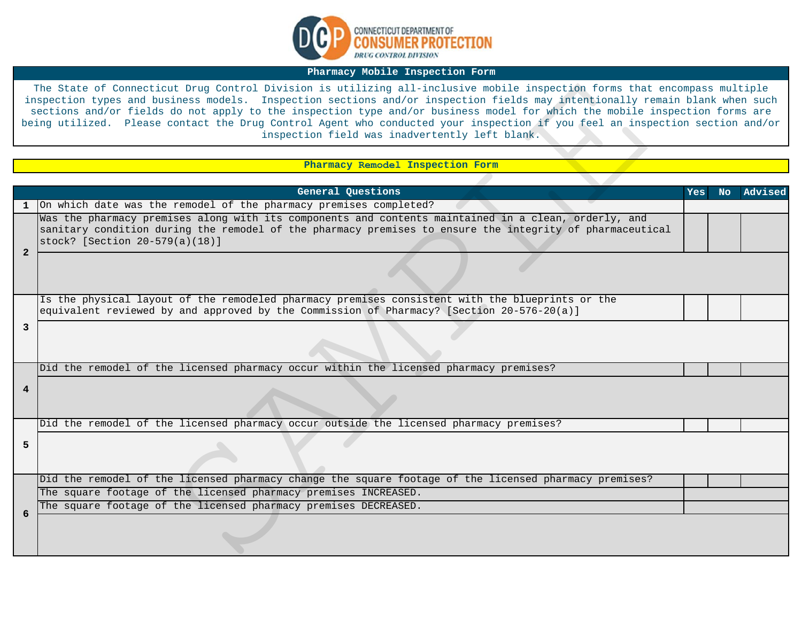

## **Pharmacy Mobile Inspection Form**

## **Pharmacy Remodel Inspection Form**

|                | The State of Connecticut Drug Control Division is utilizing all-inclusive mobile inspection forms that encompass multiple<br>inspection types and business models. Inspection sections and/or inspection fields may intentionally remain blank when such<br>sections and/or fields do not apply to the inspection type and/or business model for which the mobile inspection forms are<br>being utilized. Please contact the Drug Control Agent who conducted your inspection if you feel an inspection section and/or<br>inspection field was inadvertently left blank. |     |    |         |
|----------------|--------------------------------------------------------------------------------------------------------------------------------------------------------------------------------------------------------------------------------------------------------------------------------------------------------------------------------------------------------------------------------------------------------------------------------------------------------------------------------------------------------------------------------------------------------------------------|-----|----|---------|
|                |                                                                                                                                                                                                                                                                                                                                                                                                                                                                                                                                                                          |     |    |         |
|                | Pharmacy Remodel Inspection Form                                                                                                                                                                                                                                                                                                                                                                                                                                                                                                                                         |     |    |         |
|                |                                                                                                                                                                                                                                                                                                                                                                                                                                                                                                                                                                          |     |    |         |
|                | General Questions                                                                                                                                                                                                                                                                                                                                                                                                                                                                                                                                                        | Yes | No | Advised |
| $\mathbf{1}$   | On which date was the remodel of the pharmacy premises completed?                                                                                                                                                                                                                                                                                                                                                                                                                                                                                                        |     |    |         |
|                | Was the pharmacy premises along with its components and contents maintained in a clean, orderly, and<br>sanitary condition during the remodel of the pharmacy premises to ensure the integrity of pharmaceutical                                                                                                                                                                                                                                                                                                                                                         |     |    |         |
|                | stock? [Section 20-579(a)(18)]                                                                                                                                                                                                                                                                                                                                                                                                                                                                                                                                           |     |    |         |
| $\mathbf{2}$   |                                                                                                                                                                                                                                                                                                                                                                                                                                                                                                                                                                          |     |    |         |
|                | Is the physical layout of the remodeled pharmacy premises consistent with the blueprints or the<br>equivalent reviewed by and approved by the Commission of Pharmacy? [Section 20-576-20(a)]                                                                                                                                                                                                                                                                                                                                                                             |     |    |         |
| 3              |                                                                                                                                                                                                                                                                                                                                                                                                                                                                                                                                                                          |     |    |         |
|                | Did the remodel of the licensed pharmacy occur within the licensed pharmacy premises?                                                                                                                                                                                                                                                                                                                                                                                                                                                                                    |     |    |         |
| $\overline{4}$ |                                                                                                                                                                                                                                                                                                                                                                                                                                                                                                                                                                          |     |    |         |
|                | Did the remodel of the licensed pharmacy occur outside the licensed pharmacy premises?                                                                                                                                                                                                                                                                                                                                                                                                                                                                                   |     |    |         |
| 5              |                                                                                                                                                                                                                                                                                                                                                                                                                                                                                                                                                                          |     |    |         |
|                | Did the remodel of the licensed pharmacy change the square footage of the licensed pharmacy premises?                                                                                                                                                                                                                                                                                                                                                                                                                                                                    |     |    |         |
|                | The square footage of the licensed pharmacy premises INCREASED.                                                                                                                                                                                                                                                                                                                                                                                                                                                                                                          |     |    |         |
| 6              | The square footage of the licensed pharmacy premises DECREASED.                                                                                                                                                                                                                                                                                                                                                                                                                                                                                                          |     |    |         |
|                |                                                                                                                                                                                                                                                                                                                                                                                                                                                                                                                                                                          |     |    |         |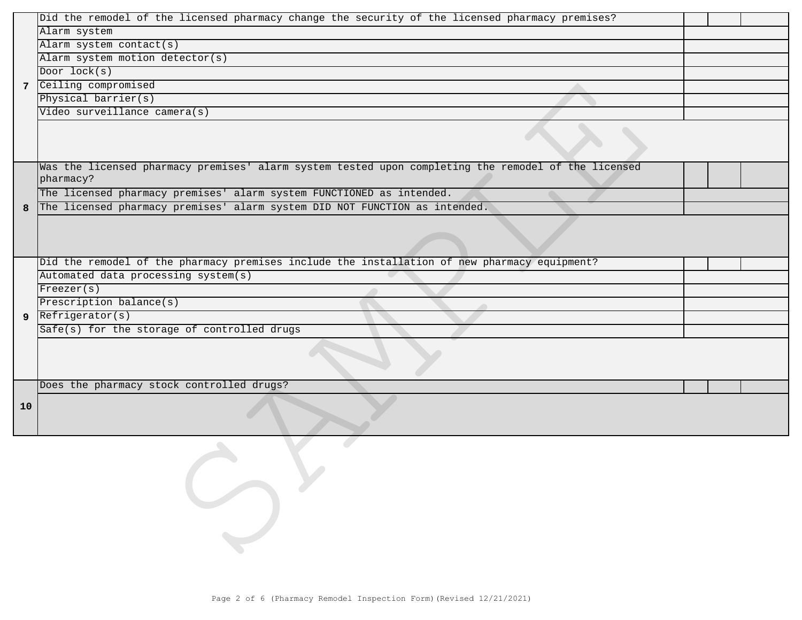|             | Did the remodel of the licensed pharmacy change the security of the licensed pharmacy premises?                  |  |  |
|-------------|------------------------------------------------------------------------------------------------------------------|--|--|
|             | Alarm system                                                                                                     |  |  |
|             | Alarm system contact(s)                                                                                          |  |  |
|             | Alarm system motion detector(s)                                                                                  |  |  |
|             | Door lock(s)                                                                                                     |  |  |
| $7^{\circ}$ | Ceiling compromised                                                                                              |  |  |
|             | Physical barrier(s)                                                                                              |  |  |
|             | Video surveillance camera(s)                                                                                     |  |  |
|             |                                                                                                                  |  |  |
|             | Was the licensed pharmacy premises' alarm system tested upon completing the remodel of the licensed<br>pharmacy? |  |  |
|             | The licensed pharmacy premises' alarm system FUNCTIONED as intended.                                             |  |  |
| 8           | The licensed pharmacy premises' alarm system DID NOT FUNCTION as intended.                                       |  |  |
|             |                                                                                                                  |  |  |
|             | Did the remodel of the pharmacy premises include the installation of new pharmacy equipment?                     |  |  |
|             | Automated data processing system(s)                                                                              |  |  |
|             | Freeze(s)                                                                                                        |  |  |
|             | Prescription balance(s)                                                                                          |  |  |
| 9           | Refrigerator(s)                                                                                                  |  |  |
|             | Safe(s) for the storage of controlled drugs                                                                      |  |  |
|             |                                                                                                                  |  |  |
|             | Does the pharmacy stock controlled drugs?                                                                        |  |  |
| 10          |                                                                                                                  |  |  |
|             |                                                                                                                  |  |  |
|             | Page 2 of 6 (Pharmacy Remodel Inspection Form) (Revised 12/21/2021)                                              |  |  |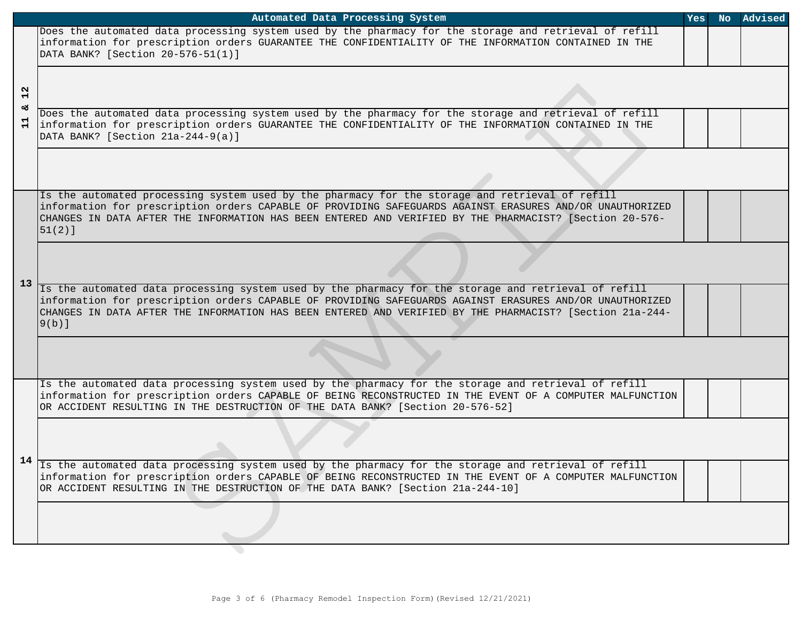|                                | Automated Data Processing System                                                                                                                                                                                                                                                                                                         | Yes | No. | Advised |
|--------------------------------|------------------------------------------------------------------------------------------------------------------------------------------------------------------------------------------------------------------------------------------------------------------------------------------------------------------------------------------|-----|-----|---------|
| N<br>$\blacksquare$<br>టి<br>님 | Does the automated data processing system used by the pharmacy for the storage and retrieval of refill<br>information for prescription orders GUARANTEE THE CONFIDENTIALITY OF THE INFORMATION CONTAINED IN THE<br>DATA BANK? [Section 20-576-51(1)]                                                                                     |     |     |         |
|                                |                                                                                                                                                                                                                                                                                                                                          |     |     |         |
|                                | Does the automated data processing system used by the pharmacy for the storage and retrieval of refill<br>information for prescription orders GUARANTEE THE CONFIDENTIALITY OF THE INFORMATION CONTAINED IN THE<br>DATA BANK? [Section 21a-244-9(a)]                                                                                     |     |     |         |
|                                |                                                                                                                                                                                                                                                                                                                                          |     |     |         |
| 13                             | Is the automated processing system used by the pharmacy for the storage and retrieval of refill<br>information for prescription orders CAPABLE OF PROVIDING SAFEGUARDS AGAINST ERASURES AND/OR UNAUTHORIZED<br>CHANGES IN DATA AFTER THE INFORMATION HAS BEEN ENTERED AND VERIFIED BY THE PHARMACIST? [Section 20-576-<br>$51(2)$ ]      |     |     |         |
|                                |                                                                                                                                                                                                                                                                                                                                          |     |     |         |
|                                | Is the automated data processing system used by the pharmacy for the storage and retrieval of refill<br>information for prescription orders CAPABLE OF PROVIDING SAFEGUARDS AGAINST ERASURES AND/OR UNAUTHORIZED<br>CHANGES IN DATA AFTER THE INFORMATION HAS BEEN ENTERED AND VERIFIED BY THE PHARMACIST? [Section 21a-244-<br>$9(b)$ ] |     |     |         |
|                                |                                                                                                                                                                                                                                                                                                                                          |     |     |         |
| 14                             | Is the automated data processing system used by the pharmacy for the storage and retrieval of refill<br>information for prescription orders CAPABLE OF BEING RECONSTRUCTED IN THE EVENT OF A COMPUTER MALFUNCTION<br>OR ACCIDENT RESULTING IN THE DESTRUCTION OF THE DATA BANK? [Section 20-576-52]                                      |     |     |         |
|                                |                                                                                                                                                                                                                                                                                                                                          |     |     |         |
|                                | Is the automated data processing system used by the pharmacy for the storage and retrieval of refill<br>information for prescription orders CAPABLE OF BEING RECONSTRUCTED IN THE EVENT OF A COMPUTER MALFUNCTION<br>OR ACCIDENT RESULTING IN THE DESTRUCTION OF THE DATA BANK? [Section 21a-244-10]                                     |     |     |         |
|                                |                                                                                                                                                                                                                                                                                                                                          |     |     |         |
|                                |                                                                                                                                                                                                                                                                                                                                          |     |     |         |
|                                |                                                                                                                                                                                                                                                                                                                                          |     |     |         |
|                                | Page 3 of 6 (Pharmacy Remodel Inspection Form) (Revised 12/21/2021)                                                                                                                                                                                                                                                                      |     |     |         |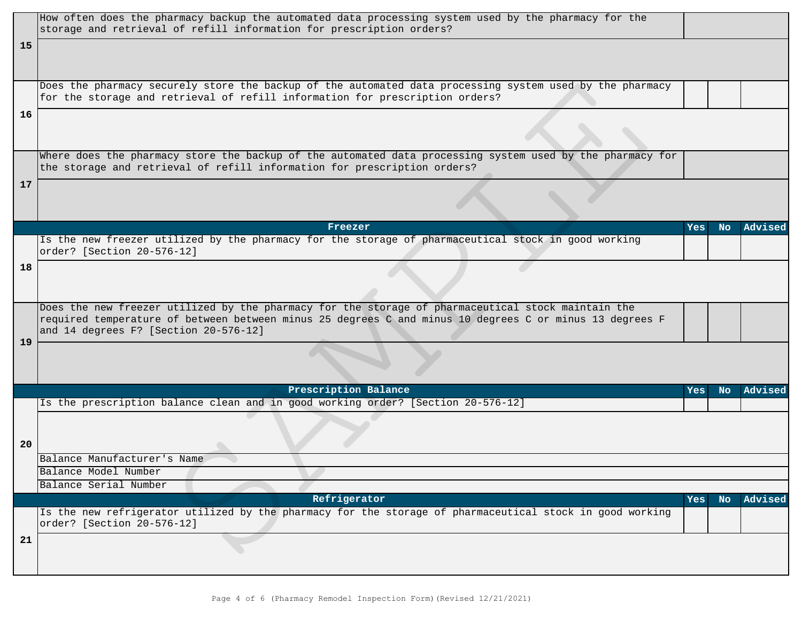|    | How often does the pharmacy backup the automated data processing system used by the pharmacy for the<br>storage and retrieval of refill information for prescription orders?             |     |           |         |
|----|------------------------------------------------------------------------------------------------------------------------------------------------------------------------------------------|-----|-----------|---------|
| 15 |                                                                                                                                                                                          |     |           |         |
|    |                                                                                                                                                                                          |     |           |         |
|    |                                                                                                                                                                                          |     |           |         |
|    | Does the pharmacy securely store the backup of the automated data processing system used by the pharmacy<br>for the storage and retrieval of refill information for prescription orders? |     |           |         |
| 16 |                                                                                                                                                                                          |     |           |         |
|    |                                                                                                                                                                                          |     |           |         |
|    |                                                                                                                                                                                          |     |           |         |
|    | Where does the pharmacy store the backup of the automated data processing system used by the pharmacy for                                                                                |     |           |         |
|    | the storage and retrieval of refill information for prescription orders?                                                                                                                 |     |           |         |
| 17 |                                                                                                                                                                                          |     |           |         |
|    |                                                                                                                                                                                          |     |           |         |
|    | Freezer                                                                                                                                                                                  | Yes | <b>No</b> | Advised |
|    | Is the new freezer utilized by the pharmacy for the storage of pharmaceutical stock in good working                                                                                      |     |           |         |
|    | order? [Section 20-576-12]                                                                                                                                                               |     |           |         |
| 18 |                                                                                                                                                                                          |     |           |         |
|    |                                                                                                                                                                                          |     |           |         |
|    | Does the new freezer utilized by the pharmacy for the storage of pharmaceutical stock maintain the                                                                                       |     |           |         |
|    | required temperature of between between minus 25 degrees C and minus 10 degrees C or minus 13 degrees F<br>and 14 degrees F? [Section 20-576-12]                                         |     |           |         |
| 19 |                                                                                                                                                                                          |     |           |         |
|    |                                                                                                                                                                                          |     |           |         |
|    |                                                                                                                                                                                          |     |           |         |
|    | Prescription Balance                                                                                                                                                                     | Yes | <b>No</b> | Advised |
|    | Is the prescription balance clean and in good working order? [Section 20-576-12]                                                                                                         |     |           |         |
|    |                                                                                                                                                                                          |     |           |         |
| 20 |                                                                                                                                                                                          |     |           |         |
|    | Balance Manufacturer's Name                                                                                                                                                              |     |           |         |
|    | Balance Model Number                                                                                                                                                                     |     |           |         |
|    | Balance Serial Number<br>Refrigerator                                                                                                                                                    | Yes | No.       | Advised |
|    | Is the new refrigerator utilized by the pharmacy for the storage of pharmaceutical stock in good working                                                                                 |     |           |         |
|    | order? [Section 20-576-12]                                                                                                                                                               |     |           |         |
| 21 |                                                                                                                                                                                          |     |           |         |
|    |                                                                                                                                                                                          |     |           |         |
|    |                                                                                                                                                                                          |     |           |         |
|    | Page 4 of 6 (Pharmacy Remodel Inspection Form) (Revised 12/21/2021)                                                                                                                      |     |           |         |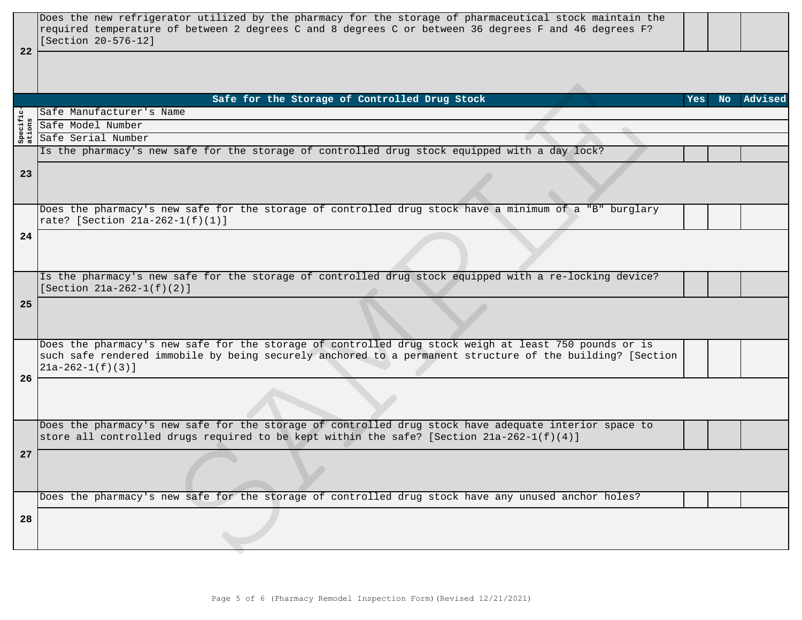| 22           | Does the new refrigerator utilized by the pharmacy for the storage of pharmaceutical stock maintain the<br>required temperature of between 2 degrees C and 8 degrees C or between 36 degrees F and 46 degrees F?<br>[Section 20-576-12] |            |            |
|--------------|-----------------------------------------------------------------------------------------------------------------------------------------------------------------------------------------------------------------------------------------|------------|------------|
|              |                                                                                                                                                                                                                                         |            |            |
|              | Safe for the Storage of Controlled Drug Stock                                                                                                                                                                                           | <b>Yes</b> | No Advised |
|              | Safe Manufacturer's Name                                                                                                                                                                                                                |            |            |
| cifi<br>ons  | Safe Model Number                                                                                                                                                                                                                       |            |            |
| Spec<br>atic | Safe Serial Number                                                                                                                                                                                                                      |            |            |
|              | Is the pharmacy's new safe for the storage of controlled drug stock equipped with a day lock?                                                                                                                                           |            |            |
|              |                                                                                                                                                                                                                                         |            |            |
| 23           |                                                                                                                                                                                                                                         |            |            |
|              | Does the pharmacy's new safe for the storage of controlled drug stock have a minimum of a "B" burglary                                                                                                                                  |            |            |
|              | rate? [Section 21a-262-1(f)(1)]                                                                                                                                                                                                         |            |            |
| 24           |                                                                                                                                                                                                                                         |            |            |
|              |                                                                                                                                                                                                                                         |            |            |
|              |                                                                                                                                                                                                                                         |            |            |
|              | Is the pharmacy's new safe for the storage of controlled drug stock equipped with a re-locking device?                                                                                                                                  |            |            |
|              | [Section $21a-262-1(f)(2)$ ]                                                                                                                                                                                                            |            |            |
| 25           |                                                                                                                                                                                                                                         |            |            |
|              |                                                                                                                                                                                                                                         |            |            |
|              |                                                                                                                                                                                                                                         |            |            |
|              | Does the pharmacy's new safe for the storage of controlled drug stock weigh at least 750 pounds or is                                                                                                                                   |            |            |
|              | such safe rendered immobile by being securely anchored to a permanent structure of the building? [Section                                                                                                                               |            |            |
|              | $21a-262-1(f)(3)$ ]                                                                                                                                                                                                                     |            |            |
| 26           |                                                                                                                                                                                                                                         |            |            |
|              |                                                                                                                                                                                                                                         |            |            |
|              |                                                                                                                                                                                                                                         |            |            |
|              |                                                                                                                                                                                                                                         |            |            |
|              | Does the pharmacy's new safe for the storage of controlled drug stock have adequate interior space to                                                                                                                                   |            |            |
|              | store all controlled drugs required to be kept within the safe? [Section 21a-262-1(f)(4)]                                                                                                                                               |            |            |
| 27           |                                                                                                                                                                                                                                         |            |            |
|              |                                                                                                                                                                                                                                         |            |            |
|              |                                                                                                                                                                                                                                         |            |            |
|              | Does the pharmacy's new safe for the storage of controlled drug stock have any unused anchor holes?                                                                                                                                     |            |            |
|              |                                                                                                                                                                                                                                         |            |            |
| 28           |                                                                                                                                                                                                                                         |            |            |
|              |                                                                                                                                                                                                                                         |            |            |
|              |                                                                                                                                                                                                                                         |            |            |
|              |                                                                                                                                                                                                                                         |            |            |
|              |                                                                                                                                                                                                                                         |            |            |
|              |                                                                                                                                                                                                                                         |            |            |
|              | Page 5 of 6 (Pharmacy Remodel Inspection Form) (Revised 12/21/2021)                                                                                                                                                                     |            |            |